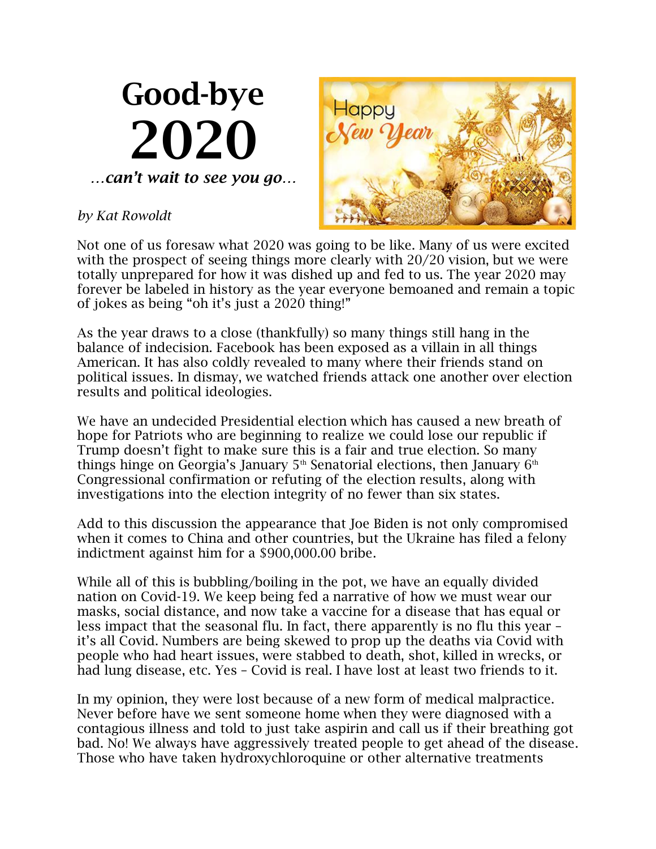## Good-bye 2020 *…can't wait to see you go…*

## *by Kat Rowoldt*



Not one of us foresaw what 2020 was going to be like. Many of us were excited with the prospect of seeing things more clearly with 20/20 vision, but we were totally unprepared for how it was dished up and fed to us. The year 2020 may forever be labeled in history as the year everyone bemoaned and remain a topic of jokes as being "oh it's just a 2020 thing!"

As the year draws to a close (thankfully) so many things still hang in the balance of indecision. Facebook has been exposed as a villain in all things American. It has also coldly revealed to many where their friends stand on political issues. In dismay, we watched friends attack one another over election results and political ideologies.

We have an undecided Presidential election which has caused a new breath of hope for Patriots who are beginning to realize we could lose our republic if Trump doesn't fight to make sure this is a fair and true election. So many things hinge on Georgia's January  $5<sup>th</sup>$  Senatorial elections, then January  $6<sup>th</sup>$ Congressional confirmation or refuting of the election results, along with investigations into the election integrity of no fewer than six states.

Add to this discussion the appearance that Joe Biden is not only compromised when it comes to China and other countries, but the Ukraine has filed a felony indictment against him for a \$900,000.00 bribe.

While all of this is bubbling/boiling in the pot, we have an equally divided nation on Covid-19. We keep being fed a narrative of how we must wear our masks, social distance, and now take a vaccine for a disease that has equal or less impact that the seasonal flu. In fact, there apparently is no flu this year – it's all Covid. Numbers are being skewed to prop up the deaths via Covid with people who had heart issues, were stabbed to death, shot, killed in wrecks, or had lung disease, etc. Yes – Covid is real. I have lost at least two friends to it.

In my opinion, they were lost because of a new form of medical malpractice. Never before have we sent someone home when they were diagnosed with a contagious illness and told to just take aspirin and call us if their breathing got bad. No! We always have aggressively treated people to get ahead of the disease. Those who have taken hydroxychloroquine or other alternative treatments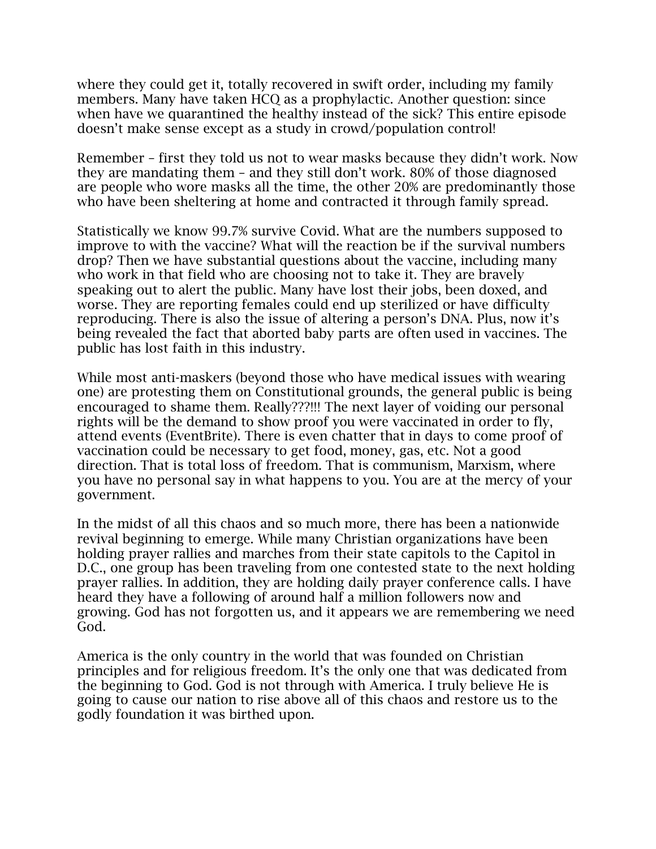where they could get it, totally recovered in swift order, including my family members. Many have taken HCQ as a prophylactic. Another question: since when have we quarantined the healthy instead of the sick? This entire episode doesn't make sense except as a study in crowd/population control!

Remember – first they told us not to wear masks because they didn't work. Now they are mandating them – and they still don't work. 80% of those diagnosed are people who wore masks all the time, the other 20% are predominantly those who have been sheltering at home and contracted it through family spread.

Statistically we know 99.7% survive Covid. What are the numbers supposed to improve to with the vaccine? What will the reaction be if the survival numbers drop? Then we have substantial questions about the vaccine, including many who work in that field who are choosing not to take it. They are bravely speaking out to alert the public. Many have lost their jobs, been doxed, and worse. They are reporting females could end up sterilized or have difficulty reproducing. There is also the issue of altering a person's DNA. Plus, now it's being revealed the fact that aborted baby parts are often used in vaccines. The public has lost faith in this industry.

While most anti-maskers (beyond those who have medical issues with wearing one) are protesting them on Constitutional grounds, the general public is being encouraged to shame them. Really???!!! The next layer of voiding our personal rights will be the demand to show proof you were vaccinated in order to fly, attend events (EventBrite). There is even chatter that in days to come proof of vaccination could be necessary to get food, money, gas, etc. Not a good direction. That is total loss of freedom. That is communism, Marxism, where you have no personal say in what happens to you. You are at the mercy of your government.

In the midst of all this chaos and so much more, there has been a nationwide revival beginning to emerge. While many Christian organizations have been holding prayer rallies and marches from their state capitols to the Capitol in D.C., one group has been traveling from one contested state to the next holding prayer rallies. In addition, they are holding daily prayer conference calls. I have heard they have a following of around half a million followers now and growing. God has not forgotten us, and it appears we are remembering we need God.

America is the only country in the world that was founded on Christian principles and for religious freedom. It's the only one that was dedicated from the beginning to God. God is not through with America. I truly believe He is going to cause our nation to rise above all of this chaos and restore us to the godly foundation it was birthed upon.